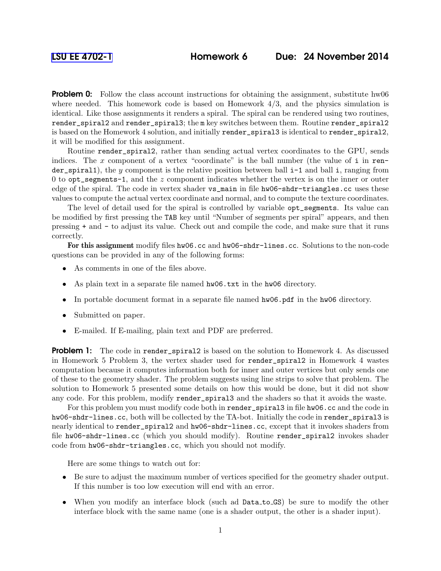**Problem 0:** Follow the class account instructions for obtaining the assignment, substitute hw06 where needed. This homework code is based on Homework  $4/3$ , and the physics simulation is identical. Like those assignments it renders a spiral. The spiral can be rendered using two routines, render\_spiral2 and render\_spiral3; the m key switches between them. Routine render\_spiral2 is based on the Homework 4 solution, and initially render\_spiral3 is identical to render\_spiral2, it will be modified for this assignment.

Routine render\_spiral2, rather than sending actual vertex coordinates to the GPU, sends indices. The x component of a vertex "coordinate" is the ball number (the value of  $i$  in render\_spiral1), the y component is the relative position between ball  $i-1$  and ball i, ranging from 0 to opt\_segments-1, and the z component indicates whether the vertex is on the inner or outer edge of the spiral. The code in vertex shader vs\_main in file hw06-shdr-triangles.cc uses these values to compute the actual vertex coordinate and normal, and to compute the texture coordinates.

The level of detail used for the spiral is controlled by variable opt\_segments. Its value can be modified by first pressing the TAB key until "Number of segments per spiral" appears, and then pressing + and - to adjust its value. Check out and compile the code, and make sure that it runs correctly.

For this assignment modify files hw06.cc and hw06-shdr-lines.cc. Solutions to the non-code questions can be provided in any of the following forms:

- As comments in one of the files above.
- As plain text in a separate file named hw06.txt in the hw06 directory.
- In portable document format in a separate file named  $hw06$ .pdf in the hw06 directory.
- Submitted on paper.
- E-mailed. If E-mailing, plain text and PDF are preferred.

**Problem 1:** The code in render\_spiral2 is based on the solution to Homework 4. As discussed in Homework 5 Problem 3, the vertex shader used for render\_spiral2 in Homework 4 wastes computation because it computes information both for inner and outer vertices but only sends one of these to the geometry shader. The problem suggests using line strips to solve that problem. The solution to Homework 5 presented some details on how this would be done, but it did not show any code. For this problem, modify render\_spiral3 and the shaders so that it avoids the waste.

For this problem you must modify code both in render\_spiral3 in file hw06.cc and the code in hw06-shdr-lines.cc, both will be collected by the TA-bot. Initially the code in render\_spiral3 is nearly identical to render\_spiral2 and hw06-shdr-lines.cc, except that it invokes shaders from file hw06-shdr-lines.cc (which you should modify). Routine render\_spiral2 invokes shader code from hw06-shdr-triangles.cc, which you should not modify.

Here are some things to watch out for:

- Be sure to adjust the maximum number of vertices specified for the geometry shader output. If this number is too low execution will end with an error.
- When you modify an interface block (such ad Data\_to\_GS) be sure to modify the other interface block with the same name (one is a shader output, the other is a shader input).